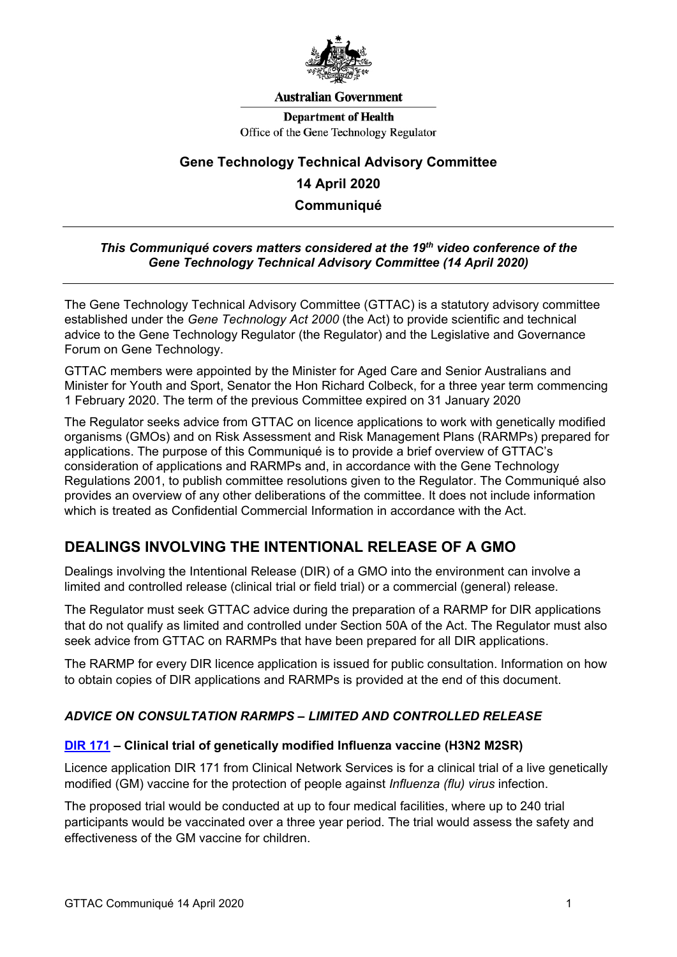

#### **Australian Government**

**Department of Health** Office of the Gene Technology Regulator

# **Gene Technology Technical Advisory Committee 14 April 2020 Communiqué**

#### *This Communiqué covers matters considered at the 19th video conference of the Gene Technology Technical Advisory Committee (14 April 2020)*

The Gene Technology Technical Advisory Committee (GTTAC) is a statutory advisory committee established under the *Gene Technology Act 2000* (the Act) to provide scientific and technical advice to the Gene Technology Regulator (the Regulator) and the Legislative and Governance Forum on Gene Technology.

GTTAC members were appointed by the Minister for Aged Care and Senior Australians and Minister for Youth and Sport, Senator the Hon Richard Colbeck, for a three year term commencing 1 February 2020. The term of the previous Committee expired on 31 January 2020

The Regulator seeks advice from GTTAC on licence applications to work with genetically modified organisms (GMOs) and on Risk Assessment and Risk Management Plans (RARMPs) prepared for applications. The purpose of this Communiqué is to provide a brief overview of GTTAC's consideration of applications and RARMPs and, in accordance with the Gene Technology Regulations 2001, to publish committee resolutions given to the Regulator. The Communiqué also provides an overview of any other deliberations of the committee. It does not include information which is treated as Confidential Commercial Information in accordance with the Act.

## **DEALINGS INVOLVING THE INTENTIONAL RELEASE OF A GMO**

Dealings involving the Intentional Release (DIR) of a GMO into the environment can involve a limited and controlled release (clinical trial or field trial) or a commercial (general) release.

The Regulator must seek GTTAC advice during the preparation of a RARMP for DIR applications that do not qualify as limited and controlled under Section 50A of the Act. The Regulator must also seek advice from GTTAC on RARMPs that have been prepared for all DIR applications.

The RARMP for every DIR licence application is issued for public consultation. Information on how to obtain copies of DIR applications and RARMPs is provided at the end of this document.

### *ADVICE ON CONSULTATION RARMPS – LIMITED AND CONTROLLED RELEASE*

#### **[DIR 171](http://www.ogtr.gov.au/internet/ogtr/publishing.nsf/Content/DIR171) – Clinical trial of genetically modified Influenza vaccine (H3N2 M2SR)**

Licence application DIR 171 from Clinical Network Services is for a clinical trial of a live genetically modified (GM) vaccine for the protection of people against *Influenza (flu) virus* infection.

The proposed trial would be conducted at up to four medical facilities, where up to 240 trial participants would be vaccinated over a three year period. The trial would assess the safety and effectiveness of the GM vaccine for children.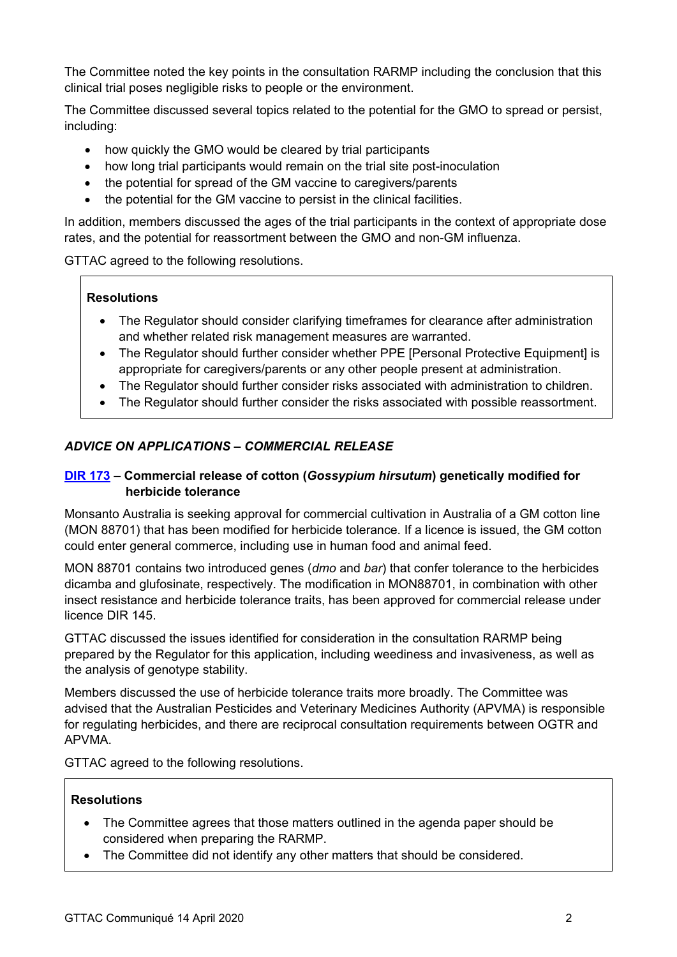The Committee noted the key points in the consultation RARMP including the conclusion that this clinical trial poses negligible risks to people or the environment.

The Committee discussed several topics related to the potential for the GMO to spread or persist, including:

- how quickly the GMO would be cleared by trial participants
- how long trial participants would remain on the trial site post-inoculation
- the potential for spread of the GM vaccine to caregivers/parents
- the potential for the GM vaccine to persist in the clinical facilities.

In addition, members discussed the ages of the trial participants in the context of appropriate dose rates, and the potential for reassortment between the GMO and non-GM influenza.

GTTAC agreed to the following resolutions.

#### **Resolutions**

- The Regulator should consider clarifying timeframes for clearance after administration and whether related risk management measures are warranted.
- The Regulator should further consider whether PPE [Personal Protective Equipment] is appropriate for caregivers/parents or any other people present at administration.
- The Regulator should further consider risks associated with administration to children.
- The Regulator should further consider the risks associated with possible reassortment.

## *ADVICE ON APPLICATIONS – COMMERCIAL RELEASE*

#### **[DIR 173](http://www.ogtr.gov.au/internet/ogtr/publishing.nsf/Content/DIR173) – Commercial release of cotton (***Gossypium hirsutum***) genetically modified for herbicide tolerance**

Monsanto Australia is seeking approval for commercial cultivation in Australia of a GM cotton line (MON 88701) that has been modified for herbicide tolerance. If a licence is issued, the GM cotton could enter general commerce, including use in human food and animal feed.

MON 88701 contains two introduced genes (*dmo* and *bar*) that confer tolerance to the herbicides dicamba and glufosinate, respectively. The modification in MON88701, in combination with other insect resistance and herbicide tolerance traits, has been approved for commercial release under licence DIR 145.

GTTAC discussed the issues identified for consideration in the consultation RARMP being prepared by the Regulator for this application, including weediness and invasiveness, as well as the analysis of genotype stability.

Members discussed the use of herbicide tolerance traits more broadly. The Committee was advised that the Australian Pesticides and Veterinary Medicines Authority (APVMA) is responsible for regulating herbicides, and there are reciprocal consultation requirements between OGTR and APVMA.

GTTAC agreed to the following resolutions.

#### **Resolutions**

- The Committee agrees that those matters outlined in the agenda paper should be considered when preparing the RARMP.
- The Committee did not identify any other matters that should be considered.